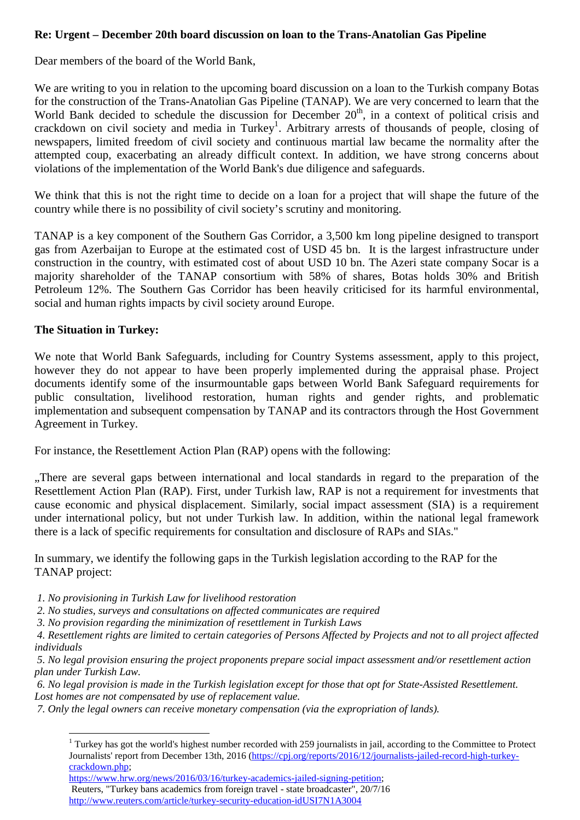# **Re: Urgent – December 20th board discussion on loan to the Trans-Anatolian Gas Pipeline**

Dear members of the board of the World Bank,

We are writing to you in relation to the upcoming board discussion on a loan to the Turkish company Botas for the construction of the Trans-Anatolian Gas Pipeline (TANAP). We are very concerned to learn that the World Bank decided to schedule the discussion for December  $20<sup>th</sup>$ , in a context of political crisis and crackdown on civil society and media in Turkey<sup>1</sup>. Arbitrary arrests of thousands of people, closing of newspapers, limited freedom of civil society and continuous martial law became the normality after the attempted coup, exacerbating an already difficult context. In addition, we have strong concerns about violations of the implementation of the World Bank's due diligence and safeguards.

We think that this is not the right time to decide on a loan for a project that will shape the future of the country while there is no possibility of civil society's scrutiny and monitoring.

TANAP is a key component of the Southern Gas Corridor, a 3,500 km long pipeline designed to transport gas from Azerbaijan to Europe at the estimated cost of USD 45 bn. It is the largest infrastructure under construction in the country, with estimated cost of about USD 10 bn. The Azeri state company Socar is a majority shareholder of the TANAP consortium with 58% of shares, Botas holds 30% and British Petroleum 12%. The Southern Gas Corridor has been heavily criticised for its harmful environmental, social and human rights impacts by civil society around Europe.

## **The Situation in Turkey:**

 $\overline{a}$ 

We note that World Bank Safeguards, including for Country Systems assessment, apply to this project, however they do not appear to have been properly implemented during the appraisal phase. Project documents identify some of the insurmountable gaps between World Bank Safeguard requirements for public consultation, livelihood restoration, human rights and gender rights, and problematic implementation and subsequent compensation by TANAP and its contractors through the Host Government Agreement in Turkey.

For instance, the Resettlement Action Plan (RAP) opens with the following:

"There are several gaps between international and local standards in regard to the preparation of the Resettlement Action Plan (RAP). First, under Turkish law, RAP is not a requirement for investments that cause economic and physical displacement. Similarly, social impact assessment (SIA) is a requirement under international policy, but not under Turkish law. In addition, within the national legal framework there is a lack of specific requirements for consultation and disclosure of RAPs and SIAs.''

In summary, we identify the following gaps in the Turkish legislation according to the RAP for the TANAP project:

 *1. No provisioning in Turkish Law for livelihood restoration* 

 *2. No studies, surveys and consultations on affected communicates are required* 

 *3. No provision regarding the minimization of resettlement in Turkish Laws* 

 *4. Resettlement rights are limited to certain categories of Persons Affected by Projects and not to all project affected individuals* 

 *5. No legal provision ensuring the project proponents prepare social impact assessment and/or resettlement action plan under Turkish Law.* 

 *6. No legal provision is made in the Turkish legislation except for those that opt for State-Assisted Resettlement. Lost homes are not compensated by use of replacement value.* 

 *7. Only the legal owners can receive monetary compensation (via the expropriation of lands).* 

 Reuters, "Turkey bans academics from foreign travel - state broadcaster", 20/7/16 http://www.reuters.com/article/turkey-security-education-idUSI7N1A3004

<sup>&</sup>lt;sup>1</sup> Turkey has got the world's highest number recorded with 259 journalists in jail, according to the Committee to Protect Journalists' report from December 13th, 2016 (https://cpj.org/reports/2016/12/journalists-jailed-record-high-turkeycrackdown.php;

https://www.hrw.org/news/2016/03/16/turkey-academics-jailed-signing-petition;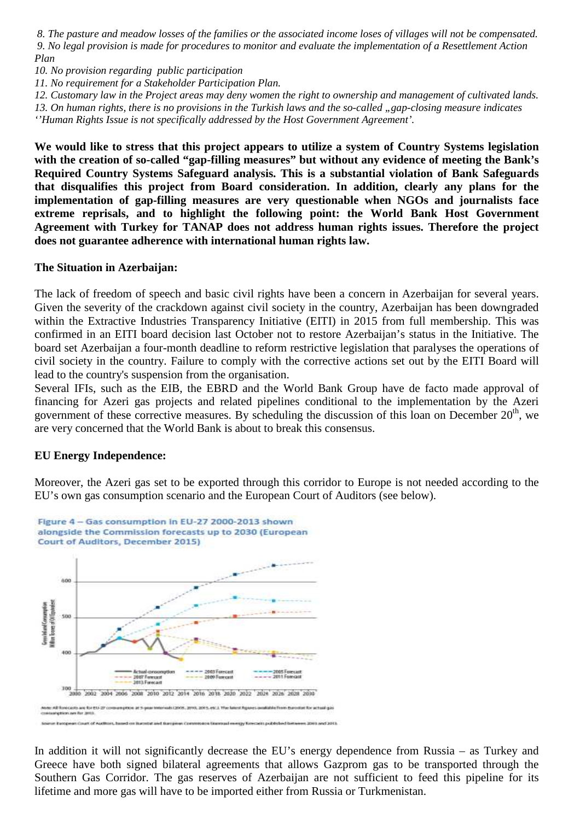*8. The pasture and meadow losses of the families or the associated income loses of villages will not be compensated. 9. No legal provision is made for procedures to monitor and evaluate the implementation of a Resettlement Action Plan* 

*10. No provision regarding public participation* 

*11. No requirement for a Stakeholder Participation Plan.* 

*12. Customary law in the Project areas may deny women the right to ownership and management of cultivated lands. 13. On human rights, there is no provisions in the Turkish laws and the so-called "gap-closing measure indicates ''Human Rights Issue is not specifically addressed by the Host Government Agreement'.*

**We would like to stress that this project appears to utilize a system of Country Systems legislation with the creation of so-called "gap-filling measures" but without any evidence of meeting the Bank's Required Country Systems Safeguard analysis. This is a substantial violation of Bank Safeguards that disqualifies this project from Board consideration. In addition, clearly any plans for the implementation of gap-filling measures are very questionable when NGOs and journalists face extreme reprisals, and to highlight the following point: the World Bank Host Government Agreement with Turkey for TANAP does not address human rights issues. Therefore the project does not guarantee adherence with international human rights law.**

### **The Situation in Azerbaijan:**

The lack of freedom of speech and basic civil rights have been a concern in Azerbaijan for several years. Given the severity of the crackdown against civil society in the country, Azerbaijan has been downgraded within the Extractive Industries Transparency Initiative (EITI) in 2015 from full membership. This was confirmed in an EITI board decision last October not to restore Azerbaijan's status in the Initiative. The board set Azerbaijan a four-month deadline to reform restrictive legislation that paralyses the operations of civil society in the country. Failure to comply with the corrective actions set out by the EITI Board will lead to the country's suspension from the organisation.

Several IFIs, such as the EIB, the EBRD and the World Bank Group have de facto made approval of financing for Azeri gas projects and related pipelines conditional to the implementation by the Azeri government of these corrective measures. By scheduling the discussion of this loan on December  $20<sup>th</sup>$ , we are very concerned that the World Bank is about to break this consensus.

## **EU Energy Independence:**

Moreover, the Azeri gas set to be exported through this corridor to Europe is not needed according to the EU's own gas consumption scenario and the European Court of Auditors (see below).



In addition it will not significantly decrease the EU's energy dependence from Russia – as Turkey and Greece have both signed bilateral agreements that allows Gazprom gas to be transported through the Southern Gas Corridor. The gas reserves of Azerbaijan are not sufficient to feed this pipeline for its lifetime and more gas will have to be imported either from Russia or Turkmenistan.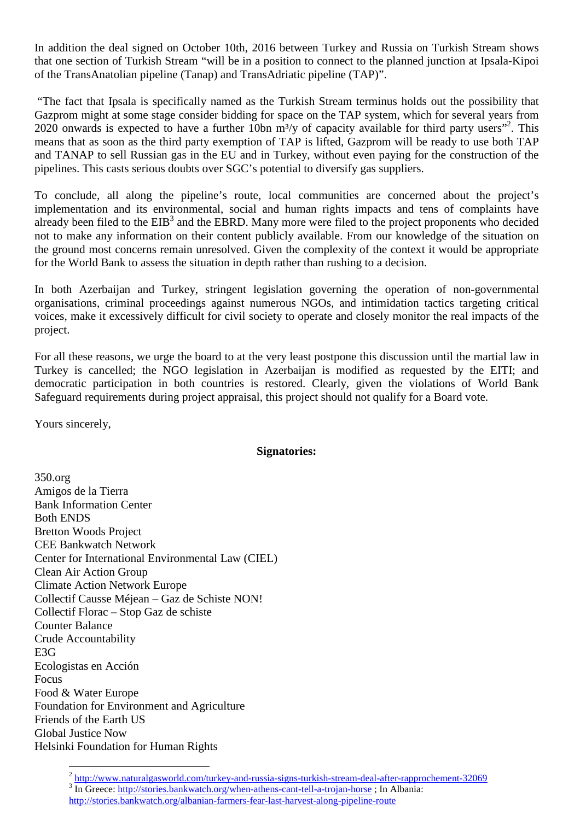In addition the deal signed on October 10th, 2016 between Turkey and Russia on Turkish Stream shows that one section of Turkish Stream "will be in a position to connect to the planned junction at Ipsala-Kipoi of the TransAnatolian pipeline (Tanap) and TransAdriatic pipeline (TAP)".

 "The fact that Ipsala is specifically named as the Turkish Stream terminus holds out the possibility that Gazprom might at some stage consider bidding for space on the TAP system, which for several years from 2020 onwards is expected to have a further 10bn  $\text{m}^3$ /y of capacity available for third party users"<sup>2</sup>. This means that as soon as the third party exemption of TAP is lifted, Gazprom will be ready to use both TAP and TANAP to sell Russian gas in the EU and in Turkey, without even paying for the construction of the pipelines. This casts serious doubts over SGC's potential to diversify gas suppliers.

To conclude, all along the pipeline's route, local communities are concerned about the project's implementation and its environmental, social and human rights impacts and tens of complaints have already been filed to the  $EIB<sup>3</sup>$  and the EBRD. Many more were filed to the project proponents who decided not to make any information on their content publicly available. From our knowledge of the situation on the ground most concerns remain unresolved. Given the complexity of the context it would be appropriate for the World Bank to assess the situation in depth rather than rushing to a decision.

In both Azerbaijan and Turkey, stringent legislation governing the operation of non-governmental organisations, criminal proceedings against numerous NGOs, and intimidation tactics targeting critical voices, make it excessively difficult for civil society to operate and closely monitor the real impacts of the project.

For all these reasons, we urge the board to at the very least postpone this discussion until the martial law in Turkey is cancelled; the NGO legislation in Azerbaijan is modified as requested by the EITI; and democratic participation in both countries is restored. Clearly, given the violations of World Bank Safeguard requirements during project appraisal, this project should not qualify for a Board vote.

Yours sincerely,

### **Signatories:**

350.org Amigos de la Tierra Bank Information Center Both ENDS Bretton Woods Project CEE Bankwatch Network Center for International Environmental Law (CIEL) Clean Air Action Group Climate Action Network Europe Collectif Causse Méjean – Gaz de Schiste NON! Collectif Florac – Stop Gaz de schiste Counter Balance Crude Accountability E3G Ecologistas en Acción Focus Food & Water Europe Foundation for Environment and Agriculture Friends of the Earth US Global Justice Now Helsinki Foundation for Human Rights

<sup>&</sup>lt;sup>2</sup> http://www.naturalgasworld.com/turkey-and-russia-signs-turkish-stream-deal-after-rapprochement-32069

<sup>&</sup>lt;sup>3</sup> In Greece: http://stories.bankwatch.org/when-athens-cant-tell-a-trojan-horse ; In Albania:

http://stories.bankwatch.org/albanian-farmers-fear-last-harvest-along-pipeline-route